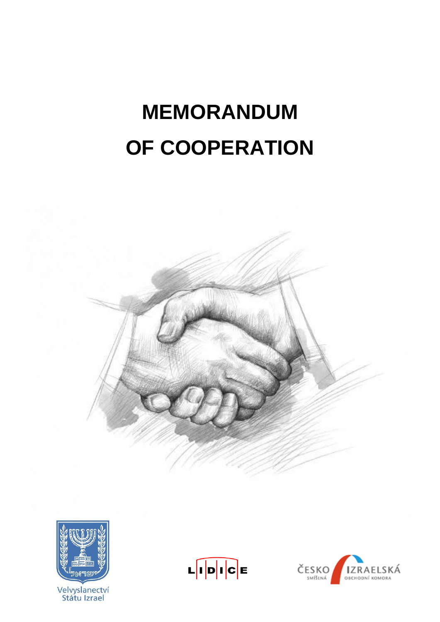# **MEMORANDUM OF COOPERATION**





Velvyslanectví<br>Státu Izrael



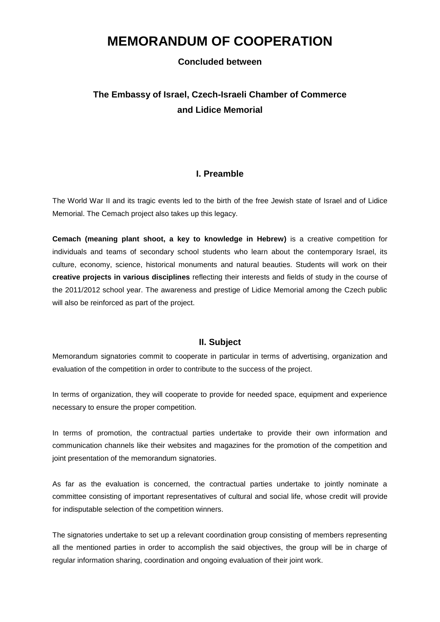## **MEMORANDUM OF COOPERATION**

### **Concluded between**

## **The Embassy of Israel, Czech-Israeli Chamber of Commerce and Lidice Memorial**

#### **I. Preamble**

The World War II and its tragic events led to the birth of the free Jewish state of Israel and of Lidice Memorial. The Cemach project also takes up this legacy.

**Cemach (meaning plant shoot, a key to knowledge in Hebrew)** is a creative competition for individuals and teams of secondary school students who learn about the contemporary Israel, its culture, economy, science, historical monuments and natural beauties. Students will work on their **creative projects in various disciplines** reflecting their interests and fields of study in the course of the 2011/2012 school year. The awareness and prestige of Lidice Memorial among the Czech public will also be reinforced as part of the project.

## **II. Subject**

Memorandum signatories commit to cooperate in particular in terms of advertising, organization and evaluation of the competition in order to contribute to the success of the project.

In terms of organization, they will cooperate to provide for needed space, equipment and experience necessary to ensure the proper competition.

In terms of promotion, the contractual parties undertake to provide their own information and communication channels like their websites and magazines for the promotion of the competition and joint presentation of the memorandum signatories.

As far as the evaluation is concerned, the contractual parties undertake to jointly nominate a committee consisting of important representatives of cultural and social life, whose credit will provide for indisputable selection of the competition winners.

The signatories undertake to set up a relevant coordination group consisting of members representing all the mentioned parties in order to accomplish the said objectives, the group will be in charge of regular information sharing, coordination and ongoing evaluation of their joint work.